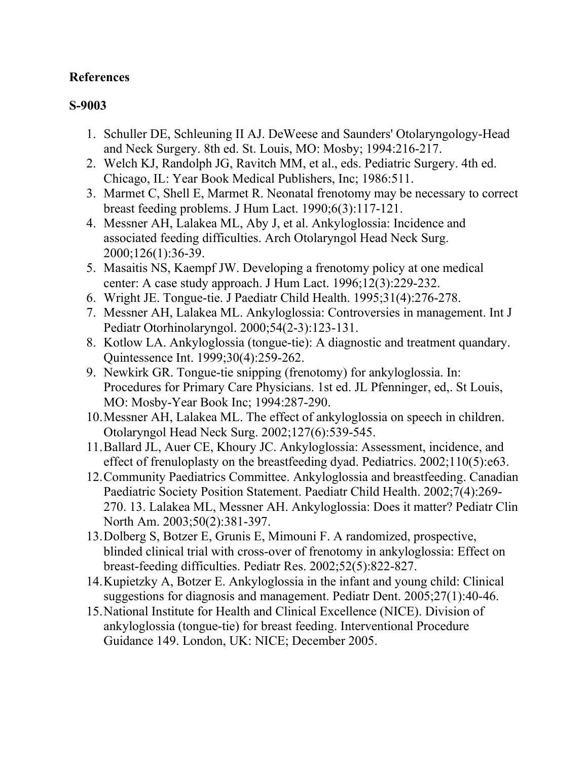## **References**

## **S-9003**

- 1. Schuller DE, Schleuning II AJ. DeWeese and Saunders' Otolaryngology-Head and Neck Surgery. 8th ed. St. Louis, MO: Mosby; 1994:216-217.
- 2. Welch KJ, Randolph JG, Ravitch MM, et al., eds. Pediatric Surgery. 4th ed. Chicago, IL: Year Book Medical Publishers, Inc; 1986:511.
- 3. Marmet C, Shell E, Marmet R. Neonatal frenotomy may be necessary to correct breast feeding problems. J Hum Lact. 1990;6(3):117-121.
- 4. Messner AH, Lalakea ML, Aby J, et al. Ankyloglossia: Incidence and associated feeding difficulties. Arch Otolaryngol Head Neck Surg. 2000;126(1):36-39.
- 5. Masaitis NS, Kaempf JW. Developing a frenotomy policy at one medical center: A case study approach. J Hum Lact. 1996;12(3):229-232.
- 6. Wright JE. Tongue-tie. J Paediatr Child Health. 1995;31(4):276-278.
- 7. Messner AH, Lalakea ML. Ankyloglossia: Controversies in management. Int J Pediatr Otorhinolaryngol. 2000;54(2-3):123-131.
- 8. Kotlow LA. Ankyloglossia (tongue-tie): A diagnostic and treatment quandary. Quintessence Int. 1999;30(4):259-262.
- 9. Newkirk GR. Tongue-tie snipping (frenotomy) for ankyloglossia. In: Procedures for Primary Care Physicians. 1st ed. JL Pfenninger, ed,. St Louis, MO: Mosby-Year Book Inc; 1994:287-290.
- 10.Messner AH, Lalakea ML. The effect of ankyloglossia on speech in children. Otolaryngol Head Neck Surg. 2002;127(6):539-545.
- 11.Ballard JL, Auer CE, Khoury JC. Ankyloglossia: Assessment, incidence, and effect of frenuloplasty on the breastfeeding dyad. Pediatrics. 2002;110(5):e63.
- 12.Community Paediatrics Committee. Ankyloglossia and breastfeeding. Canadian Paediatric Society Position Statement. Paediatr Child Health. 2002;7(4):269- 270. 13. Lalakea ML, Messner AH. Ankyloglossia: Does it matter? Pediatr Clin North Am. 2003;50(2):381-397.
- 13.Dolberg S, Botzer E, Grunis E, Mimouni F. A randomized, prospective, blinded clinical trial with cross-over of frenotomy in ankyloglossia: Effect on breast-feeding difficulties. Pediatr Res. 2002;52(5):822-827.
- 14.Kupietzky A, Botzer E. Ankyloglossia in the infant and young child: Clinical suggestions for diagnosis and management. Pediatr Dent. 2005;27(1):40-46.
- 15.National Institute for Health and Clinical Excellence (NICE). Division of ankyloglossia (tongue-tie) for breast feeding. Interventional Procedure Guidance 149. London, UK: NICE; December 2005.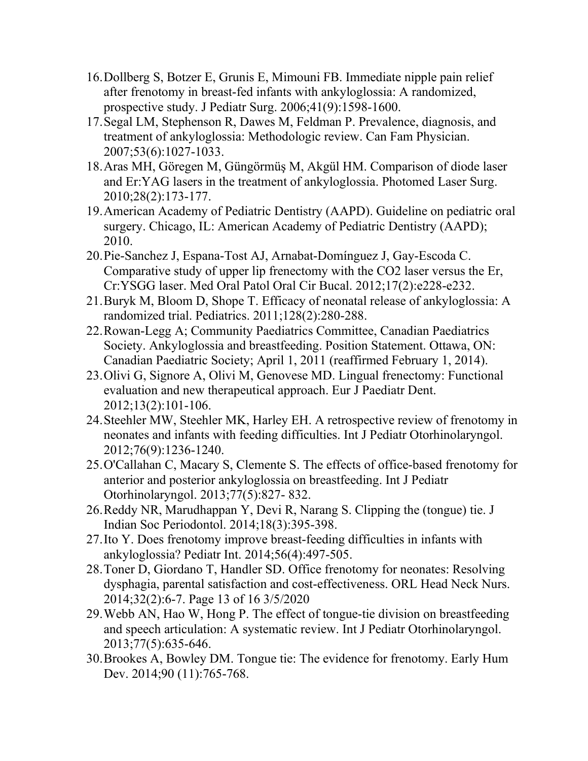- 16.Dollberg S, Botzer E, Grunis E, Mimouni FB. Immediate nipple pain relief after frenotomy in breast-fed infants with ankyloglossia: A randomized, prospective study. J Pediatr Surg. 2006;41(9):1598-1600.
- 17.Segal LM, Stephenson R, Dawes M, Feldman P. Prevalence, diagnosis, and treatment of ankyloglossia: Methodologic review. Can Fam Physician. 2007;53(6):1027-1033.
- 18.Aras MH, Göregen M, Güngörmüş M, Akgül HM. Comparison of diode laser and Er:YAG lasers in the treatment of ankyloglossia. Photomed Laser Surg. 2010;28(2):173-177.
- 19.American Academy of Pediatric Dentistry (AAPD). Guideline on pediatric oral surgery. Chicago, IL: American Academy of Pediatric Dentistry (AAPD); 2010.
- 20.Pie-Sanchez J, Espana-Tost AJ, Arnabat-Domínguez J, Gay-Escoda C. Comparative study of upper lip frenectomy with the CO2 laser versus the Er, Cr:YSGG laser. Med Oral Patol Oral Cir Bucal. 2012;17(2):e228-e232.
- 21.Buryk M, Bloom D, Shope T. Efficacy of neonatal release of ankyloglossia: A randomized trial. Pediatrics. 2011;128(2):280-288.
- 22.Rowan-Legg A; Community Paediatrics Committee, Canadian Paediatrics Society. Ankyloglossia and breastfeeding. Position Statement. Ottawa, ON: Canadian Paediatric Society; April 1, 2011 (reaffirmed February 1, 2014).
- 23.Olivi G, Signore A, Olivi M, Genovese MD. Lingual frenectomy: Functional evaluation and new therapeutical approach. Eur J Paediatr Dent. 2012;13(2):101-106.
- 24.Steehler MW, Steehler MK, Harley EH. A retrospective review of frenotomy in neonates and infants with feeding difficulties. Int J Pediatr Otorhinolaryngol. 2012;76(9):1236-1240.
- 25.O'Callahan C, Macary S, Clemente S. The effects of office-based frenotomy for anterior and posterior ankyloglossia on breastfeeding. Int J Pediatr Otorhinolaryngol. 2013;77(5):827- 832.
- 26.Reddy NR, Marudhappan Y, Devi R, Narang S. Clipping the (tongue) tie. J Indian Soc Periodontol. 2014;18(3):395-398.
- 27.Ito Y. Does frenotomy improve breast-feeding difficulties in infants with ankyloglossia? Pediatr Int. 2014;56(4):497-505.
- 28.Toner D, Giordano T, Handler SD. Office frenotomy for neonates: Resolving dysphagia, parental satisfaction and cost-effectiveness. ORL Head Neck Nurs. 2014;32(2):6-7. Page 13 of 16 3/5/2020
- 29.Webb AN, Hao W, Hong P. The effect of tongue-tie division on breastfeeding and speech articulation: A systematic review. Int J Pediatr Otorhinolaryngol. 2013;77(5):635-646.
- 30.Brookes A, Bowley DM. Tongue tie: The evidence for frenotomy. Early Hum Dev. 2014;90 (11):765-768.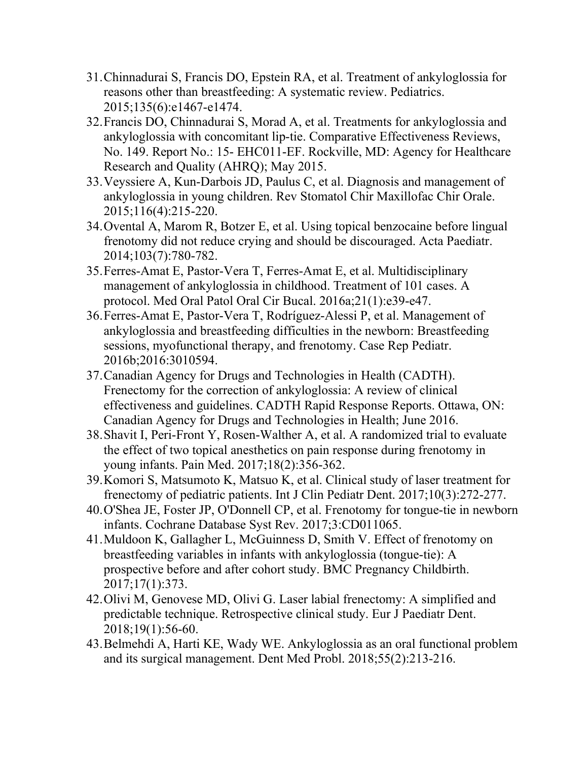- 31.Chinnadurai S, Francis DO, Epstein RA, et al. Treatment of ankyloglossia for reasons other than breastfeeding: A systematic review. Pediatrics. 2015;135(6):e1467-e1474.
- 32.Francis DO, Chinnadurai S, Morad A, et al. Treatments for ankyloglossia and ankyloglossia with concomitant lip-tie. Comparative Effectiveness Reviews, No. 149. Report No.: 15- EHC011-EF. Rockville, MD: Agency for Healthcare Research and Quality (AHRQ); May 2015.
- 33.Veyssiere A, Kun-Darbois JD, Paulus C, et al. Diagnosis and management of ankyloglossia in young children. Rev Stomatol Chir Maxillofac Chir Orale. 2015;116(4):215-220.
- 34.Ovental A, Marom R, Botzer E, et al. Using topical benzocaine before lingual frenotomy did not reduce crying and should be discouraged. Acta Paediatr. 2014;103(7):780-782.
- 35.Ferres-Amat E, Pastor-Vera T, Ferres-Amat E, et al. Multidisciplinary management of ankyloglossia in childhood. Treatment of 101 cases. A protocol. Med Oral Patol Oral Cir Bucal. 2016a;21(1):e39-e47.
- 36.Ferres-Amat E, Pastor-Vera T, Rodríguez-Alessi P, et al. Management of ankyloglossia and breastfeeding difficulties in the newborn: Breastfeeding sessions, myofunctional therapy, and frenotomy. Case Rep Pediatr. 2016b;2016:3010594.
- 37.Canadian Agency for Drugs and Technologies in Health (CADTH). Frenectomy for the correction of ankyloglossia: A review of clinical effectiveness and guidelines. CADTH Rapid Response Reports. Ottawa, ON: Canadian Agency for Drugs and Technologies in Health; June 2016.
- 38.Shavit I, Peri-Front Y, Rosen-Walther A, et al. A randomized trial to evaluate the effect of two topical anesthetics on pain response during frenotomy in young infants. Pain Med. 2017;18(2):356-362.
- 39.Komori S, Matsumoto K, Matsuo K, et al. Clinical study of laser treatment for frenectomy of pediatric patients. Int J Clin Pediatr Dent. 2017;10(3):272-277.
- 40.O'Shea JE, Foster JP, O'Donnell CP, et al. Frenotomy for tongue-tie in newborn infants. Cochrane Database Syst Rev. 2017;3:CD011065.
- 41.Muldoon K, Gallagher L, McGuinness D, Smith V. Effect of frenotomy on breastfeeding variables in infants with ankyloglossia (tongue-tie): A prospective before and after cohort study. BMC Pregnancy Childbirth. 2017;17(1):373.
- 42.Olivi M, Genovese MD, Olivi G. Laser labial frenectomy: A simplified and predictable technique. Retrospective clinical study. Eur J Paediatr Dent. 2018;19(1):56-60.
- 43.Belmehdi A, Harti KE, Wady WE. Ankyloglossia as an oral functional problem and its surgical management. Dent Med Probl. 2018;55(2):213-216.